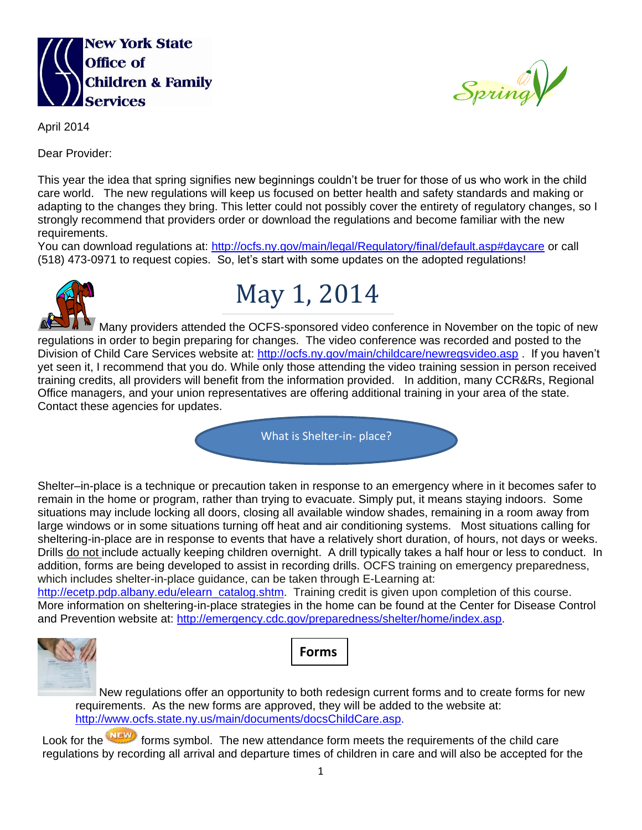



April 2014

Dear Provider:

This year the idea that spring signifies new beginnings couldn't be truer for those of us who work in the child care world. The new regulations will keep us focused on better health and safety standards and making or adapting to the changes they bring. This letter could not possibly cover the entirety of regulatory changes, so I strongly recommend that providers order or download the regulations and become familiar with the new requirements.

You can download regulations at:<http://ocfs.ny.gov/main/legal/Regulatory/final/default.asp#daycare> or call (518) 473-0971 to request copies. So, let's start with some updates on the adopted regulations!



## May 1, 2014

Many providers attended the OCFS-sponsored video conference in November on the topic of new regulations in order to begin preparing for changes. The video conference was recorded and posted to the Division of Child Care Services website at:<http://ocfs.ny.gov/main/childcare/newregsvideo.asp>. If you haven't yet seen it, I recommend that you do. While only those attending the video training session in person received training credits, all providers will benefit from the information provided. In addition, many CCR&Rs, Regional Office managers, and your union representatives are offering additional training in your area of the state. Contact these agencies for updates.

What is Shelter-in- place?

Shelter–in-place is a technique or precaution taken in response to an emergency where in it becomes safer to remain in the home or program, rather than trying to evacuate. Simply put, it means staying indoors. Some situations may include locking all doors, closing all available window shades, remaining in a room away from large windows or in some situations turning off heat and air conditioning systems. Most situations calling for sheltering-in-place are in response to events that have a relatively short duration, of hours, not days or weeks. Drills do not include actually keeping children overnight. A drill typically takes a half hour or less to conduct. In addition, forms are being developed to assist in recording drills. OCFS training on emergency preparedness, which includes shelter-in-place guidance, can be taken through E-Learning at:

[http://ecetp.pdp.albany.edu/elearn\\_catalog.shtm.](http://ecetp.pdp.albany.edu/elearn_catalog.shtm) Training credit is given upon completion of this course. More information on sheltering-in-place strategies in the home can be found at the Center for Disease Control and Prevention website at: [http://emergency.cdc.gov/preparedness/shelter/home/index.asp.](http://emergency.cdc.gov/preparedness/shelter/home/index.asp)





New regulations offer an opportunity to both redesign current forms and to create forms for new requirements. As the new forms are approved, they will be added to the website at: [http://www.ocfs.state.ny.us/main/documents/docsChildCare.asp.](http://www.ocfs.state.ny.us/main/documents/docsChildCare.asp)

Look for the **interest forms symbol.** The new attendance form meets the requirements of the child care regulations by recording all arrival and departure times of children in care and will also be accepted for the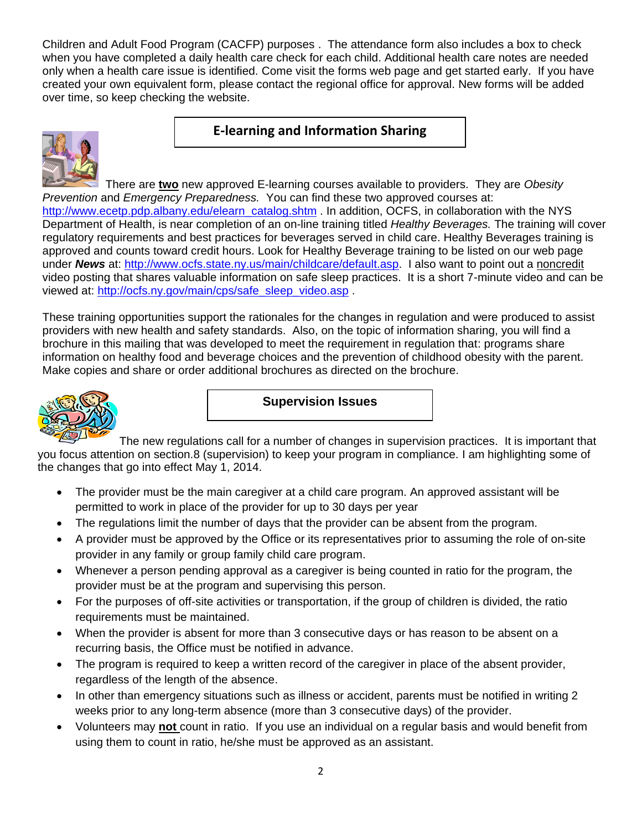Children and Adult Food Program (CACFP) purposes . The attendance form also includes a box to check when you have completed a daily health care check for each child. Additional health care notes are needed only when a health care issue is identified. Come visit the forms web page and get started early. If you have created your own equivalent form, please contact the regional office for approval. New forms will be added over time, so keep checking the website.

## **E-learning and Information Sharing**



 There are **two** new approved E-learning courses available to providers. They are *Obesity Prevention* and *Emergency Preparedness.* You can find these two approved courses at: [http://www.ecetp.pdp.albany.edu/elearn\\_catalog.shtm](http://www.ecetp.pdp.albany.edu/elearn_catalog.shtm) . In addition, OCFS, in collaboration with the NYS Department of Health, is near completion of an on-line training titled *Healthy Beverages.* The training will cover regulatory requirements and best practices for beverages served in child care. Healthy Beverages training is approved and counts toward credit hours. Look for Healthy Beverage training to be listed on our web page under *News* at: [http://www.ocfs.state.ny.us/main/childcare/default.asp.](http://www.ocfs.state.ny.us/main/childcare/default.asp) I also want to point out a noncredit video posting that shares valuable information on safe sleep practices. It is a short 7-minute video and can be viewed at: [http://ocfs.ny.gov/main/cps/safe\\_sleep\\_video.asp](http://ocfs.ny.gov/main/cps/safe_sleep_video.asp) .

These training opportunities support the rationales for the changes in regulation and were produced to assist providers with new health and safety standards. Also, on the topic of information sharing, you will find a brochure in this mailing that was developed to meet the requirement in regulation that: programs share information on healthy food and beverage choices and the prevention of childhood obesity with the parent. Make copies and share or order additional brochures as directed on the brochure.



**Supervision Issues**

The new regulations call for a number of changes in supervision practices. It is important that you focus attention on section.8 (supervision) to keep your program in compliance. I am highlighting some of the changes that go into effect May 1, 2014.

- The provider must be the main caregiver at a child care program. An approved assistant will be permitted to work in place of the provider for up to 30 days per year
- The regulations limit the number of days that the provider can be absent from the program.
- A provider must be approved by the Office or its representatives prior to assuming the role of on-site provider in any family or group family child care program.
- Whenever a person pending approval as a caregiver is being counted in ratio for the program, the provider must be at the program and supervising this person.
- For the purposes of off-site activities or transportation, if the group of children is divided, the ratio requirements must be maintained.
- When the provider is absent for more than 3 consecutive days or has reason to be absent on a recurring basis, the Office must be notified in advance.
- The program is required to keep a written record of the caregiver in place of the absent provider, regardless of the length of the absence.
- In other than emergency situations such as illness or accident, parents must be notified in writing 2 weeks prior to any long-term absence (more than 3 consecutive days) of the provider.
- Volunteers may **not** count in ratio. If you use an individual on a regular basis and would benefit from using them to count in ratio, he/she must be approved as an assistant.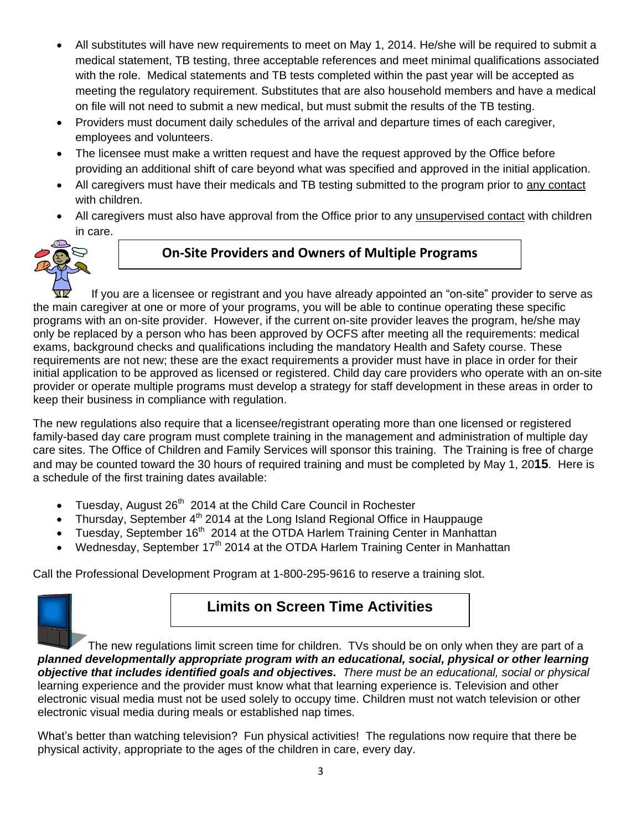- All substitutes will have new requirements to meet on May 1, 2014. He/she will be required to submit a medical statement, TB testing, three acceptable references and meet minimal qualifications associated with the role. Medical statements and TB tests completed within the past year will be accepted as meeting the regulatory requirement. Substitutes that are also household members and have a medical on file will not need to submit a new medical, but must submit the results of the TB testing.
- Providers must document daily schedules of the arrival and departure times of each caregiver, employees and volunteers.
- The licensee must make a written request and have the request approved by the Office before providing an additional shift of care beyond what was specified and approved in the initial application.
- All caregivers must have their medicals and TB testing submitted to the program prior to any contact with children.
- All caregivers must also have approval from the Office prior to any unsupervised contact with children in care.



## **On-Site Providers and Owners of Multiple Programs**

If you are a licensee or registrant and you have already appointed an "on-site" provider to serve as the main caregiver at one or more of your programs, you will be able to continue operating these specific programs with an on-site provider. However, if the current on-site provider leaves the program, he/she may only be replaced by a person who has been approved by OCFS after meeting all the requirements: medical exams, background checks and qualifications including the mandatory Health and Safety course. These requirements are not new; these are the exact requirements a provider must have in place in order for their initial application to be approved as licensed or registered. Child day care providers who operate with an on-site provider or operate multiple programs must develop a strategy for staff development in these areas in order to keep their business in compliance with regulation.

The new regulations also require that a licensee/registrant operating more than one licensed or registered family-based day care program must complete training in the management and administration of multiple day care sites. The Office of Children and Family Services will sponsor this training. The Training is free of charge and may be counted toward the 30 hours of required training and must be completed by May 1, 20**15**. Here is a schedule of the first training dates available:

- Tuesday, August 26<sup>th</sup> 2014 at the Child Care Council in Rochester
- Thursday, September 4<sup>th</sup> 2014 at the Long Island Regional Office in Hauppauge
- Tuesday, September 16<sup>th</sup> 2014 at the OTDA Harlem Training Center in Manhattan
- Wednesday, September 17<sup>th</sup> 2014 at the OTDA Harlem Training Center in Manhattan

Call the Professional Development Program at 1-800-295-9616 to reserve a training slot.



## **Limits on Screen Time Activities**

The new regulations limit screen time for children. TVs should be on only when they are part of a *planned developmentally appropriate program with an educational, social, physical or other learning objective that includes identified goals and objectives. There must be an educational, social or physical* learning experience and the provider must know what that learning experience is. Television and other electronic visual media must not be used solely to occupy time. Children must not watch television or other electronic visual media during meals or established nap times.

What's better than watching television? Fun physical activities! The regulations now require that there be physical activity, appropriate to the ages of the children in care, every day.